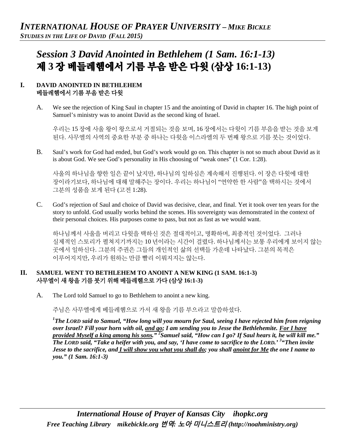# *Session 3 David Anointed in Bethlehem (1 Sam. 16:1-13)* 제 **3** 장 베들레헴에서 기름 부음 받은 다윗 **(**삼상 **16:1-13)**

## **I. DAVID ANOINTED IN BETHLEHEM**  베들레헴에서 기름 부음 받은 다윗

A. We see the rejection of King Saul in chapter 15 and the anointing of David in chapter 16. The high point of Samuel's ministry was to anoint David as the second king of Israel.

우리는 15 장에 사울 왕이 왕으로서 거절되는 것을 보며, 16 장에서는 다윗이 기름 부음을 받는 것을 보게 된다. 사무엘의 사역의 중요한 부분 중 하나는 다윗을 이스라엘의 두 번째 왕으로 기름 붓는 것이었다.

B. Saul's work for God had ended, but God's work would go on. This chapter is not so much about David as it is about God. We see God's personality in His choosing of "weak ones" (1 Cor. 1:28).

사울의 하나님을 향한 일은 끝이 났지만, 하나님의 일하심은 계속해서 진행된다. 이 장은 다윗에 대한 장이라기보다, 하나님에 대해 말해주는 장이다. 우리는 하나님이 "연약한 한 사람"을 택하시는 것에서 그분의 성품을 보게 된다 (고전 1:28).

C. God's rejection of Saul and choice of David was decisive, clear, and final. Yet it took over ten years for the story to unfold. God usually works behind the scenes. His sovereignty was demonstrated in the context of their personal choices. His purposes come to pass, but not as fast as we would want.

하나님께서 사울을 버리고 다윗을 택하신 것은 절대적이고, 명확하며, 최종적인 것이었다. 그러나 실제적인 스토리가 펼쳐지기까지는 10 년이라는 시간이 걸렸다. 하나님께서는 보통 우리에게 보이지 않는 곳에서 일하신다. 그분의 주권은 그들의 개인적인 삶의 선택들 가운데 나타났다. 그분의 목적은 이루어지지만, 우리가 원하는 만큼 빨리 이뤄지지는 않는다.

## **II. SAMUEL WENT TO BETHLEHEM TO ANOINT A NEW KING (1 SAM. 16:1-3)** 사무엘이 새 왕을 기름 붓기 위해 베들레헴으로 가다 **(**삼상 **16:1-3)**

A. The Lord told Samuel to go to Bethlehem to anoint a new king.

주님은 사무엘에게 베들레헴으로 가서 새 왕을 기름 부으라고 말씀하셨다.

*1 The LORD said to Samuel, "How long will you mourn for Saul, seeing I have rejected him from reigning over Israel? Fill your horn with oil, and go; I am sending you to Jesse the Bethlehemite. For I have provided Myself a king among his sons." 2 Samuel said, "How can I go? If Saul hears it, he will kill me." The LORD said, "Take a heifer with you, and say, 'I have come to sacrifice to the LORD.' <sup>3</sup> "Then invite Jesse to the sacrifice, and I will show you what you shall do; you shall anoint for Me the one I name to you." (1 Sam. 16:1-3)*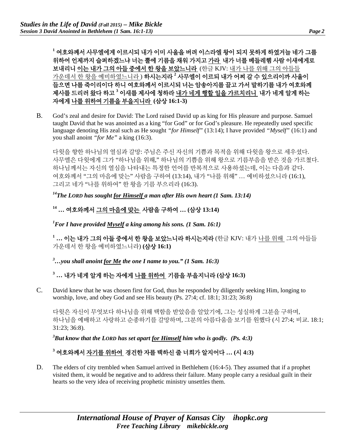**<sup>1</sup>** 여호와께서 사무엘에게 이르시되 내가 이미 사울을 버려 이스라엘 왕이 되지 못하게 하였거늘 네가 그를 위하여 언제까지 슬퍼하겠느냐 너는 뿔에 기름을 채워 가지고 가라 내가 너를 베들레헴 사람 이새에게로 보내리니 이는 내가 그의 아들 중에서 한 왕을 보았느니라 (한글 KJV: 내가 나를 위해 그의 아들들 가운데서 한 왕을 예비하였느니라 ) 하시는지라 **<sup>2</sup>** 사무엘이 이르되 내가 어찌 갈 수 있으리이까 사울이 들으면 나를 죽이리이다 하니 여호와께서 이르시되 너는 암송아지를 끌고 가서 말하기를 내가 여호와께 제사를 드리러 왔다 하고 **<sup>3</sup>** 이새를 제사에 청하라 내가 네게 행할 일을 가르치리니 내가 네게 알게 하는 자에게 나를 위하여 기름을 부을지니라 **(**삼상 **16:1-3)**

B. God's zeal and desire for David: The Lord raised David up as king for His pleasure and purpose. Samuel taught David that he was anointed as a king "for God" or for God's pleasure. He repeatedly used specific language denoting His zeal such as He sought *"for Himself"* (13:14); I have provided *"Myself"* (16:1) and you shall anoint *"for Me"* a king (16:3).

다윗을 향한 하나님의 열심과 갈망: 주님은 주신 자신의 기쁨과 목적을 위해 다윗을 왕으로 세우셨다. 사무엘은 다윗에게 그가 "하나님을 위해," 하나님의 기쁨을 위해 왕으로 기름부음을 받은 것을 가르쳤다. 하나님께서는 자신의 열심을 나타내는 특정한 언어를 반복적으로 사용하셨는데, 이는 다음과 같다. 여호와께서 "그의 마음에 맞는" 사람을 구하여 (13:14), 내가 "나를 위해" … 예비하셨으니라 (16:1), 그리고 네가 "나를 위하여" 한 왕을 기름 부으리라 (16:3).

*14The LORD has sought for Himself a man after His own heart (1 Sam. 13:14)* 

## **<sup>14</sup> …** 여호와께서 그의 마음에 맞는 사람을 구하여 **… (**삼상 **13:14)**

*1 For I have provided Myself a king among his sons. (1 Sam. 16:1)* 

**<sup>1</sup> …** 이는 내가 그의 아들 중에서 한 왕을 보았느니라 하시는지라 (한글 KJV: 내가 나를 위해 그의 아들들 가운데서 한 왕을 예비하였느니라) **(**삼상 **16:1)**

*3 …you shall anoint for Me the one I name to you." (1 Sam. 16:3)*

## **<sup>3</sup> …** 내가 네게 알게 하는 자에게 나를 위하여 기름을 부을지니라 **(**삼상 **16:3)**

C. David knew that he was chosen first for God, thus he responded by diligently seeking Him, longing to worship, love, and obey God and see His beauty (Ps. 27:4; cf. 18:1; 31:23; 36:8)

다윗은 자신이 무엇보다 하나님을 위해 택함을 받았음을 알았기에, 그는 성실하게 그분을 구하며, 하나님을 예배하고 사랑하고 순종하기를 갈망하며, 그분의 아름다움을 보기를 원했다 (시 27:4; 비교. 18:1; 31:23; 36:8).

*3 But know that the LORD has set apart for Himself him who is godly. (Ps. 4:3)* 

## **<sup>3</sup>** 여호와께서 자기를 위하여 경건한 자를 택하신 줄 너희가 알지어다 **… (**시 **4:3)**

D. The elders of city trembled when Samuel arrived in Bethlehem (16:4-5). They assumed that if a prophet visited them, it would be negative and to address their failure. Many people carry a residual guilt in their hearts so the very idea of receiving prophetic ministry unsettles them.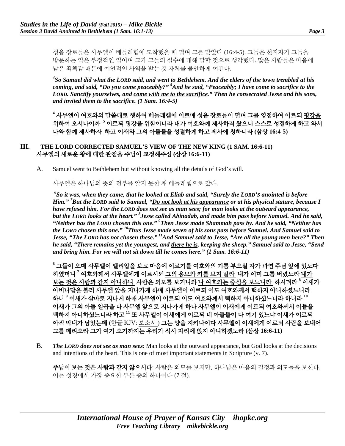성읍 장로들은 사무엘이 베들레헴에 도착했을 때 떨며 그를 맞았다 (16:4-5). 그들은 선지자가 그들을 방문하는 일은 부정적인 일이며 그가 그들의 실수에 대해 말할 것으로 생각했다. 많은 사람들은 마음에 남은 죄책감 때문에 예언적인 사역을 받는 것 자체를 불안하게 여긴다.

*4 So Samuel did what the LORD said, and went to Bethlehem. And the elders of the town trembled at his coming, and said, "Do you come peaceably?" 5 And he said, "Peaceably; I have come to sacrifice to the LORD. Sanctify yourselves, and come with me to the sacrifice." Then he consecrated Jesse and his sons, and invited them to the sacrifice. (1 Sam. 16:4-5)*

**<sup>4</sup>** 사무엘이 여호와의 말씀대로 행하여 베들레헴에 이르매 성읍 장로들이 떨며 그를 영접하여 이르되 평강을 위하여 오시나이까 **<sup>5</sup>** 이르되 평강을 위함이니라 내가 여호와께 제사하러 왔으니 스스로 성결하게 하고 와서 나와 함께 제사하자 하고 이새와 그의 아들들을 성결하게 하고 제사에 청하니라 **(**삼상 **16:4-5)**

## **III. THE LORD CORRECTED SAMUEL'S VIEW OF THE NEW KING (1 SAM. 16:6-11)**  사무엘의 새로운 왕에 대한 관점을 주님이 교정해주심 **(**삼상 **16:6-11)**

A. Samuel went to Bethlehem but without knowing all the details of God's will.

사무엘은 하나님의 뜻의 전부를 알지 못한 채 베들레헴으로 갔다.

*6 So it was, when they came, that he looked at Eliab and said, "Surely the LORD'S anointed is before Him." 7 But the LORD said to Samuel, "Do not look at his appearance or at his physical stature, because I have refused him. For the LORD does not see as man sees; for man looks at the outward appearance, but the LORD looks at the heart." 8 Jesse called Abinadab, and made him pass before Samuel. And he said, "Neither has the LORD chosen this one." 9 Then Jesse made Shammah pass by. And he said, "Neither has the LORD chosen this one." 10Thus Jesse made seven of his sons pass before Samuel. And Samuel said to Jesse, "The LORD has not chosen these." 11And Samuel said to Jesse, "Are all the young men here?" Then he said, "There remains yet the youngest, and there he is, keeping the sheep." Samuel said to Jesse, "Send and bring him. For we will not sit down till he comes here." (1 Sam. 16:6-11)*

**<sup>6</sup>** 그들이 오매 사무엘이 엘리압을 보고 마음에 이르기를 여호와의 기름 부으실 자가 과연 주님 앞에 있도다 하였더니 **<sup>7</sup>** 여호와께서 사무엘에게 이르시되 그의 용모와 키를 보지 말라 내가 이미 그를 버렸노라 내가 보는 것은 사람과 같지 아니하니 사람은 외모를 보거니와 나 여호와는 중심을 보느니라 하시더라 **<sup>8</sup>** 이새가 아비나답을 불러 사무엘 앞을 지나가게 하매 사무엘이 이르되 이도 여호와께서 택하지 아니하셨느니라 하니 **<sup>9</sup>** 이새가 삼마로 지나게 하매 사무엘이 이르되 이도 여호와께서 택하지 아니하셨느니라 하니라 **<sup>10</sup>** 이새가 그의 아들 일곱을 다 사무엘 앞으로 지나가게 하나 사무엘이 이새에게 이르되 여호와께서 이들을 택하지 아니하셨느니라 하고 **<sup>11</sup>** 또 사무엘이 이새에게 이르되 네 아들들이 다 여기 있느냐 이새가 이르되 아직 막내가 남았는데 (한글 KJV: 보소서 ) 그는 양을 지키나이다 사무엘이 이새에게 이르되 사람을 보내어 그를 데려오라 그가 여기 오기까지는 우리가 식사 자리에 앉지 아니하겠노라 **(**삼상 **16:6-11)**

B. *The LORD does not see as man sees*: Man looks at the outward appearance, but God looks at the decisions and intentions of the heart. This is one of most important statements in Scripture (v. 7).

주님이 보는 것은 사람과 같지 않으시다: 사람은 외모를 보지만, 하나님은 마음의 결정과 의도들을 보신다. 이는 성경에서 가장 중요한 부분 중의 하나이다 (7 절).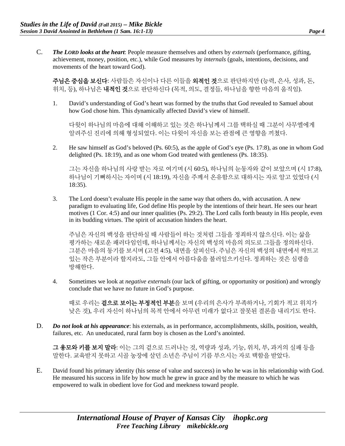C. *The LORD looks at the heart*: People measure themselves and others by *externals* (performance, gifting, achievement, money, position, etc.), while God measures by *internals* (goals, intentions, decisions, and movements of the heart toward God).

주님은 중심을 보신다: 사람들은 자신이나 다른 이들을 외적인 것으로 판단하지만 (능력, 은사, 성과, 돈, 위치, 등), 하나님은 내적인 것으로 판단하신다 (목적, 의도, 결정들, 하나님을 향한 마음의 움직임).

1. David's understanding of God's heart was formed by the truths that God revealed to Samuel about how God chose him. This dynamically affected David's view of himself.

다윗이 하나님의 마음에 대해 이해하고 있는 것은 하나님께서 그를 택하실 때 그분이 사무엘에게 알려주신 진리에 의해 형성되었다. 이는 다윗이 자신을 보는 관점에 큰 영향을 끼쳤다.

2. He saw himself as God's beloved (Ps. 60:5), as the apple of God's eye (Ps. 17:8), as one in whom God delighted (Ps. 18:19), and as one whom God treated with gentleness (Ps. 18:35).

그는 자신을 하나님의 사랑 받는 자로 여기며 (시 60:5), 하나님의 눈동자와 같이 보았으며 (시 17:8), 하나님이 기뻐하시는 자이며 (시 18:19), 자신을 주께서 온유함으로 대하시는 자로 알고 있었다 (시 18:35).

3. The Lord doesn't evaluate His people in the same way that others do, with accusation. A new paradigm to evaluating life, God define His people by the intentions of their heart. He sees our heart motives (1 Cor. 4:5) and our inner qualities (Ps. 29:2). The Lord calls forth beauty in His people, even in its budding virtues. The spirit of accusation hinders the heart.

주님은 자신의 백성을 판단하실 때 사람들이 하는 것처럼 그들을 정죄하지 않으신다. 이는 삶을 평가하는 새로운 패러다임인데, 하나님께서는 자신의 백성의 마음의 의도로 그들을 정의하신다. 그분은 마음의 동기를 보시며 (고전 4:5), 내면을 살피신다. 주님은 자신의 백성의 내면에서 싹트고 있는 작은 부분이라 할지라도, 그들 안에서 아름다움을 불러일으키신다. 정죄하는 것은 심령을 방해한다.

4. Sometimes we look at *negative externals* (our lack of gifting, or opportunity or position) and wrongly conclude that we have no future in God's purpose.

때로 우리는 **겉으로 보이는 부정적인 부분**을 보며 (우리의 은사가 부족하거나, 기회가 적고 위치가 낮은 것), 우리 자신이 하나님의 목적 안에서 아무런 미래가 없다고 잘못된 결론을 내리기도 한다.

D. *Do not look at his appearance*: his externals, as in performance, accomplishments, skills, position, wealth, failures, etc. An uneducated, rural farm boy is chosen as the Lord's anointed.

그 용모와 키를 보지 말라: 이는 그의 겉으로 드러나는 것, 역량과 성과, 기능, 위치, 부, 과거의 실패 등을 말한다. 교육받지 못하고 시골 농장에 살던 소년은 주님이 기름 부으시는 자로 택함을 받았다.

E. David found his primary identity (his sense of value and success) in who he was in his relationship with God. He measured his success in life by how much he grew in grace and by the measure to which he was empowered to walk in obedient love for God and meekness toward people.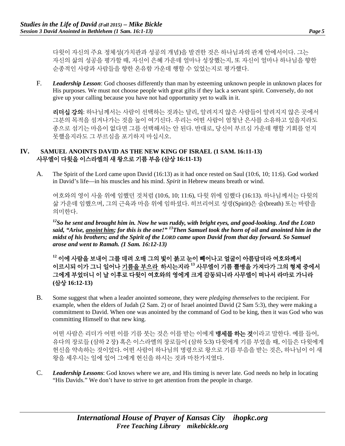다윗이 자신의 주요 정체성(가치관과 성공의 개념)을 발견한 것은 하나님과의 관계 안에서이다. 그는 자신의 삶의 성공을 평가할 때, 자신이 은혜 가운데 얼마나 성장했는지, 또 자신이 얼마나 하나님을 향한 순종적인 사랑과 사람들을 향한 온유함 가운데 행할 수 있었는지로 평가했다.

F. *Leadership Lesson*: God chooses differently than man by esteeming unknown people in unknown places for His purposes. We must not choose people with great gifts if they lack a servant spirit. Conversely, do not give up your calling because you have not had opportunity yet to walk in it.

리더십 강의: 하나님께서는 사람이 선택하는 것과는 달리, 알려지지 않은 사람들이 알려지지 않은 곳에서 그분의 목적을 섬겨나가는 것을 높이 여기신다. 우리는 어떤 사람이 엄청난 은사를 소유하고 있을지라도 종으로 섬기는 마음이 없다면 그를 선택해서는 안 된다. 반대로, 당신이 부르심 가운데 행할 기회를 얻지 못했을지라도 그 부르심을 포기하지 마십시오.

#### **IV. SAMUEL ANOINTS DAVID AS THE NEW KING OF ISRAEL (1 SAM. 16:11-13)**  사무엘이 다윗을 이스라엘의 새 왕으로 기름 부음 **(**삼상 **16:11-13)**

A. The Spirit of the Lord came upon David (16:13) as it had once rested on Saul (10:6, 10; 11:6). God worked in David's life—in his muscles and his mind. *Spirit* in Hebrew means breath or wind.

여호와의 영이 사울 위에 임했던 것처럼 (10:6, 10; 11:6), 다윗 위에 임했다 (16:13). 하나님께서는 다윗의 삶 가운데 임했으며, 그의 근육과 마음 위에 임하셨다. 히브리어로 성령(Spirit)은 숨(breath) 또는 바람을 의미한다.

*12So he sent and brought him in. Now he was ruddy, with bright eyes, and good-looking. And the LORD said, "Arise, anoint him; for this is the one!" 13Then Samuel took the horn of oil and anointed him in the midst of his brothers; and the Spirit of the LORD came upon David from that day forward. So Samuel arose and went to Ramah. (1 Sam. 16:12-13)*

**<sup>12</sup>** 이에 사람을 보내어 그를 데려 오매 그의 빛이 붉고 눈이 빼어나고 얼굴이 아름답더라 여호와께서 이르시되 이가 그니 일어나 기름을 부으라 하시는지라 **<sup>13</sup>** 사무엘이 기름 뿔병을 가져다가 그의 형제 중에서 그에게 부었더니 이 날 이후로 다윗이 여호와의 영에게 크게 감동되니라 사무엘이 떠나서 라마로 가니라 **(**삼상 **16:12-13)**

B. Some suggest that when a leader anointed someone, they were *pledging themselves* to the recipient. For example, when the elders of Judah (2 Sam. 2) or of Israel anointed David (2 Sam 5:3), they were making a commitment to David. When one was anointed by the command of God to be king, then it was God who was committing Himself to that new king.

어떤 사람은 리더가 어떤 이를 기름 붓는 것은 이를 받는 이에게 **맹세를 하는 것**이라고 말한다. 예를 들어, 유다의 장로들 (삼하 2 장) 혹은 이스라엘의 장로들이 (삼하 5:3) 다윗에게 기름 부었을 때, 이들은 다윗에게 헌신을 약속하는 것이었다. 어떤 사람이 하나님의 명령으로 왕으로 기름 부음을 받는 것은, 하나님이 이 새 왕을 세우시는 일에 있어 그에게 헌신을 하시는 것과 마찬가지였다.

C. *Leadership Lessons*: God knows where we are, and His timing is never late. God needs no help in locating "His Davids." We don't have to strive to get attention from the people in charge.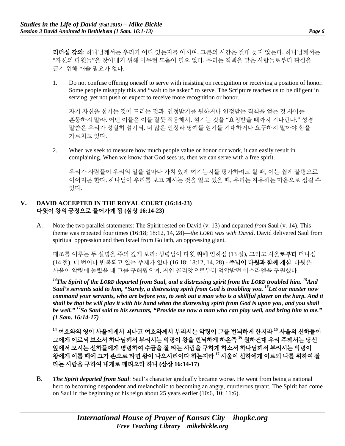리더십 강의: 하나님께서는 우리가 어디 있는지를 아시며, 그분의 시간은 절대 늦지 않는다. 하나님께서는 "자신의 다윗들"을 찾아내기 위해 아무런 도움이 필요 없다. 우리는 직책을 맡은 사람들로부터 관심을 끌기 위해 애쓸 필요가 없다.

1. Do not confuse offering oneself to serve with insisting on recognition or receiving a position of honor. Some people misapply this and "wait to be asked" to serve. The Scripture teaches us to be diligent in serving, yet not push or expect to receive more recognition or honor.

자기 자신을 섬기는 것에 드리는 것과, 인정받기를 원하거나 인정받는 직책을 얻는 것 사이를 혼동하지 말라. 어떤 이들은 이를 잘못 적용해서, 섬기는 것을 "요청받을 때까지 기다린다." 성경 말씀은 우리가 성실히 섬기되, 더 많은 인정과 명예를 얻기를 기대하거나 요구하지 말아야 함을 가르치고 있다.

2. When we seek to measure how much people value or honor our work, it can easily result in complaining. When we know that God sees us, then we can serve with a free spirit.

우리가 사람들이 우리의 일을 얼마나 가치 있게 여기는지를 평가하려고 할 때, 이는 쉽게 불평으로 이어지곤 한다. 하나님이 우리를 보고 계시는 것을 알고 있을 때, 우리는 자유하는 마음으로 섬길 수 있다.

## **V. DAVID ACCEPTED IN THE ROYAL COURT (16:14-23)** 다윗이 왕의 궁정으로 들어가게 됨 **(**삼상 **16:14-23)**

A. Note the two parallel statements: The Spirit rested *on* David (v. 13) and departed *from* Saul (v. 14). This theme was repeated four times (16:18; 18:12, 14, 28)—*the LORD was with David*. David delivered Saul from spiritual oppression and then Israel from Goliath, an oppressing giant.

대조를 이루는 두 설명을 주의 깊게 보라: 성령님이 다윗 **위에** 임하심 (13 절), 그리고 사울**로부터** 떠나심 (14 절). 네 번이나 반복되고 있는 주제가 있다 (16:18; 18:12, 14, 28) - **주님이 다윗과 함께 계심**. 다윗은 사울이 악령에 눌렸을 때 그를 구해줬으며, 거인 골리앗으로부터 억압받던 이스라엘을 구원했다.

*14The Spirit of the LORD departed from Saul, and a distressing spirit from the LORD troubled him. 15And Saul's servants said to him, "Surely, a distressing spirit from God is troubling you. 16Let our master now command your servants, who are before you, to seek out a man who is a skillful player on the harp. And it shall be that he will play it with his hand when the distressing spirit from God is upon you, and you shall be well." 17So Saul said to his servants, "Provide me now a man who can play well, and bring him to me." (1 Sam. 16:14-17)*

**<sup>14</sup>** 여호와의 영이 사울에게서 떠나고 여호와께서 부리시는 악령이 그를 번뇌하게 한지라 **<sup>15</sup>** 사울의 신하들이 그에게 이르되 보소서 하나님께서 부리시는 악령이 왕을 번뇌하게 하온즉 **<sup>16</sup>** 원하건대 우리 주께서는 당신 앞에서 모시는 신하들에게 명령하여 수금을 잘 타는 사람을 구하게 하소서 하나님께서 부리시는 악령이 왕에게 이를 때에 그가 손으로 타면 왕이 나으시리이다 하는지라 **<sup>17</sup>** 사울이 신하에게 이르되 나를 위하여 잘 타는 사람을 구하여 내게로 데려오라 하니 **(**삼상 **16:14-17)**

B. *The Spirit departed from Saul*: Saul's character gradually became worse. He went from being a national hero to becoming despondent and melancholic to becoming an angry, murderous tyrant. The Spirit had come on Saul in the beginning of his reign about 25 years earlier (10:6, 10; 11:6).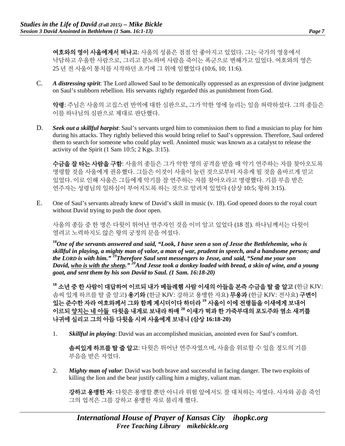여호와의 영이 사울에게서 떠나고: 사울의 성품은 점점 안 좋아지고 있었다. 그는 국가의 영웅에서 낙담하고 우울한 사람으로, 그리고 분노하며 사람을 죽이는 폭군으로 변해가고 있었다. 여호와의 영은 25 년 전 사울이 통치를 시작하던 초기에 그 위에 임했었다 (10:6, 10; 11:6).

C. *A distressing spirit*: The Lord allowed Saul to be demonically oppressed as an expression of divine judgment on Saul's stubborn rebellion. His servants rightly regarded this as punishment from God.

악령: 주님은 사울의 고집스런 반역에 대한 심판으로, 그가 악한 영에 눌리는 일을 허락하셨다. 그의 종들은 이를 하나님의 심판으로 제대로 판단했다.

D. *Seek out a skillful harpist*: Saul's servants urged him to commission them to find a musician to play for him during his attacks. They rightly believed this would bring relief to Saul's oppression. Therefore, Saul ordered them to search for someone who could play well. Anointed music was known as a catalyst to release the activity of the Spirit (1 Sam 10:5; 2 Kgs. 3:15).

수금을 잘 타는 사람을 구함: 사울의 종들은 그가 악한 영의 공격을 받을 때 악기 연주하는 자를 찾아오도록 명령할 것을 사울에게 권유했다. 그들은 이것이 사울이 눌린 것으로부터 자유케 될 것을 올바르게 믿고 있었다. 이로 인해 사울은 그들에게 악기를 잘 연주하는 자를 찾아오라고 명령했다. 기름 부음 받은 연주자는 성령님의 일하심이 부어지도록 하는 것으로 알려져 있었다 (삼상 10:5; 왕하 3:15).

E. One of Saul's servants already knew of David's skill in music (v. 18). God opened doors to the royal court without David trying to push the door open.

사울의 종들 중 한 명은 다윗이 뛰어난 연주자인 것을 이미 알고 있었다 (18 절). 하나님께서는 다윗이 열려고 노력하지도 않은 왕의 궁정의 문을 여셨다.

*18One of the servants answered and said, "Look, I have seen a son of Jesse the Bethlehemite, who is skillful in playing, a mighty man of valor, a man of war, prudent in speech, and a handsome person; and the LORD is with him." 19Therefore Saul sent messengers to Jesse, and said, "Send me your son David, who is with the sheep." 20And Jesse took a donkey loaded with bread, a skin of wine, and a young goat, and sent them by his son David to Saul. (1 Sam. 16:18-20)*

**<sup>18</sup>** 소년 중 한 사람이 대답하여 이르되 내가 베들레헴 사람 이새의 아들을 본즉 수금을 탈 줄 알고 (한글 KJV: 솜씨 있게 하프를 탈 줄 알고) 용기와 (한글 KJV: 강하고 용맹한 자요) 무용과 (한글 KJV: 전사요) 구변이 있는 준수한 자라 여호와께서 그와 함께 계시더이다 하더라 **<sup>19</sup>** 사울이 이에 전령들을 이새에게 보내어 이르되 양치는 네 아들 다윗을 내게로 보내라 하매 **<sup>20</sup>** 이새가 떡과 한 가죽부대의 포도주와 염소 새끼를 나귀에 실리고 그의 아들 다윗을 시켜 사울에게 보내니 **(**삼상 **16:18-20)**

1. *Skillful in playing*: David was an accomplished musician, anointed even for Saul's comfort.

솜씨있게 하프를 탈 줄 알고: 다윗은 뛰어난 연주자였으며, 사울을 위로할 수 있을 정도의 기름 부음을 받은 자였다.

2. *Mighty man of valor*: David was both brave and successful in facing danger. The two exploits of killing the lion and the bear justify calling him a mighty, valiant man.

강하고 용맹한 자: 다윗은 용맹할 뿐만 아니라 위험 앞에서도 잘 대처하는 자였다. 사자와 곰을 죽인 그의 업적은 그를 강하고 용맹한 자로 불리게 했다.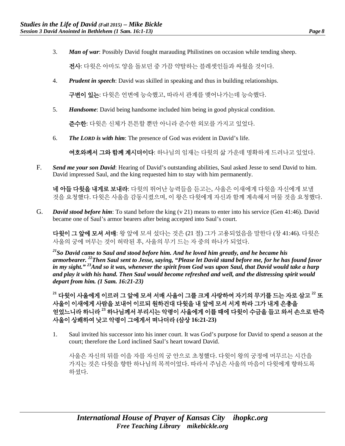3. *Man of war*: Possibly David fought marauding Philistines on occasion while tending sheep.

전사: 다윗은 아마도 양을 돌보던 중 가끔 약탈하는 블레셋인들과 싸웠을 것이다.

4. *Prudent in speech*: David was skilled in speaking and thus in building relationships.

구변이 있는: 다윗은 언변에 능숙했고, 따라서 관계를 맺어나가는데 능숙했다.

5. *Handsome*: David being handsome included him being in good physical condition.

준수한: 다윗은 신체가 튼튼할 뿐만 아니라 준수한 외모를 가지고 있었다.

6. *The LORD is with him*: The presence of God was evident in David's life.

여호와께서 그와 함께 계시더이다: 하나님의 임재는 다윗의 삶 가운데 명확하게 드러나고 있었다.

F. *Send me your son David*: Hearing of David's outstanding abilities, Saul asked Jesse to send David to him. David impressed Saul, and the king requested him to stay with him permanently.

네 아들 다윗을 내게로 보내라: 다윗의 뛰어난 능력들을 듣고는, 사울은 이새에게 다윗을 자신에게 보낼 것을 요청했다. 다윗은 사울을 감동시켰으며, 이 왕은 다윗에게 자신과 함께 계속해서 머물 것을 요청했다.

G. *David stood before him*: To stand before the king (v 21) means to enter into his service (Gen 41:46). David became one of Saul's armor bearers after being accepted into Saul's court.

다윗이 그 앞에 모셔 서매: 왕 앞에 모셔 섰다는 것은 (21 절) 그가 고용되었음을 말한다 (창 41:46). 다윗은 사울의 궁에 머무는 것이 허락된 후, 사울의 무기 드는 자 중의 하나가 되었다.

*21So David came to Saul and stood before him. And he loved him greatly, and he became his armorbearer. 22Then Saul sent to Jesse, saying, "Please let David stand before me, for he has found favor in my sight." 23And so it was, whenever the spirit from God was upon Saul, that David would take a harp and play it with his hand. Then Saul would become refreshed and well, and the distressing spirit would depart from him. (1 Sam. 16:21-23)*

**<sup>21</sup>** 다윗이 사울에게 이르러 그 앞에 모셔 서매 사울이 그를 크게 사랑하여 자기의 무기를 드는 자로 삼고 **<sup>22</sup>** 또 사울이 이새에게 사람을 보내어 이르되 원하건대 다윗을 내 앞에 모셔 서게 하라 그가 내게 은총을 얻었느니라 하니라 **<sup>23</sup>** 하나님께서 부리시는 악령이 사울에게 이를 때에 다윗이 수금을 들고 와서 손으로 탄즉 사울이 상쾌하여 낫고 악령이 그에게서 떠나더라 **(**삼상 **16:21-23)**

1. Saul invited his successor into his inner court. It was God's purpose for David to spend a season at the court; therefore the Lord inclined Saul's heart toward David.

사울은 자신의 뒤를 이을 자를 자신의 궁 안으로 초청했다. 다윗이 왕의 궁정에 머무르는 시간을 가지는 것은 다윗을 향한 하나님의 목적이었다. 따라서 주님은 사울의 마음이 다윗에게 향하도록 하셨다.